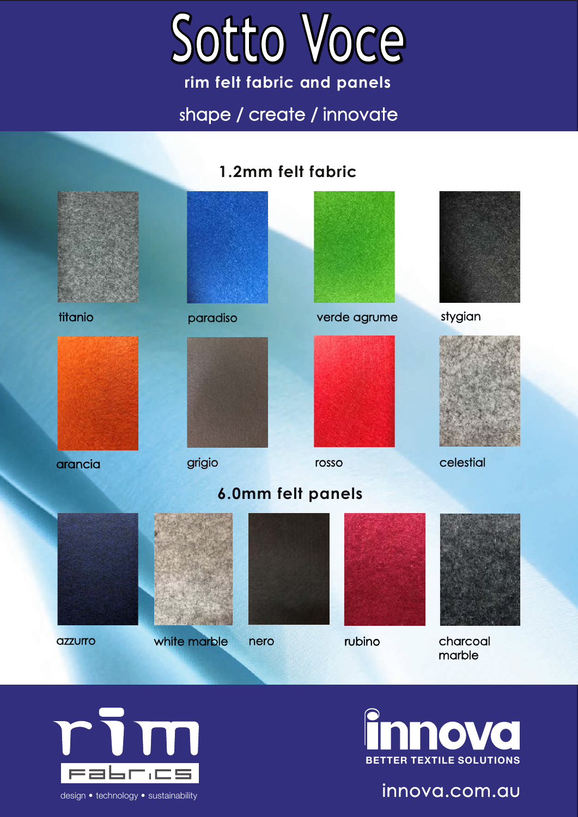

**rim felt fabric and panels** shape / create / innovate

### **1.2mm felt fabric**